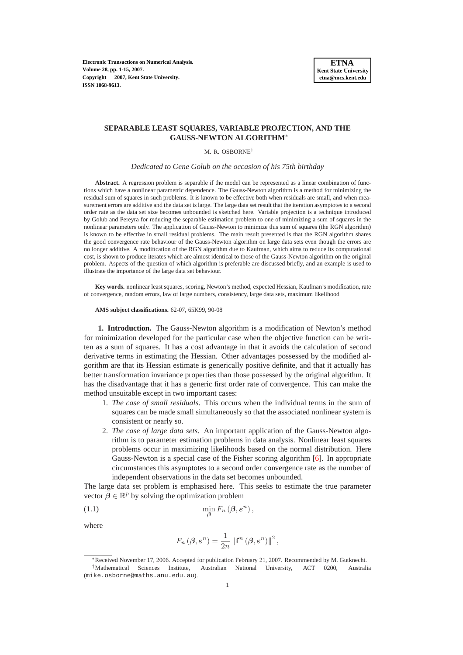**Electronic Transactions on Numerical Analysis. Volume 28, pp. 1-15, 2007. Copyright 2007, Kent State University. ISSN 1068-9613.**

# **SEPARABLE LEAST SQUARES, VARIABLE PROJECTION, AND THE GAUSS-NEWTON ALGORITHM**<sup>∗</sup>

#### M. R. OSBORNE†

# *Dedicated to Gene Golub on the occasion of his 75th birthday*

**Abstract.** A regression problem is separable if the model can be represented as a linear combination of functions which have a nonlinear parametric dependence. The Gauss-Newton algorithm is a method for minimizing the residual sum of squares in such problems. It is known to be effective both when residuals are small, and when measurement errors are additive and the data set is large. The large data set result that the iteration asymptotes to a second order rate as the data set size becomes unbounded is sketched here. Variable projection is a technique introduced by Golub and Pereyra for reducing the separable estimation problem to one of minimizing a sum of squares in the nonlinear parameters only. The application of Gauss-Newton to minimize this sum of squares (the RGN algorithm) is known to be effective in small residual problems. The main result presented is that the RGN algorithm shares the good convergence rate behaviour of the Gauss-Newton algorithm on large data sets even though the errors are no longer additive. A modification of the RGN algorithm due to Kaufman, which aims to reduce its computational cost, is shown to produce iterates which are almost identical to those of the Gauss-Newton algorithm on the original problem. Aspects of the question of which algorithm is preferable are discussed briefly, and an example is used to illustrate the importance of the large data set behaviour.

**Key words.** nonlinear least squares, scoring, Newton's method, expected Hessian, Kaufman's modification, rate of convergence, random errors, law of large numbers, consistency, large data sets, maximum likelihood

#### **AMS subject classifications.** 62-07, 65K99, 90-08

**1. Introduction.** The Gauss-Newton algorithm is a modification of Newton's method for minimization developed for the particular case when the objective function can be written as a sum of squares. It has a cost advantage in that it avoids the calculation of second derivative terms in estimating the Hessian. Other advantages possessed by the modified algorithm are that its Hessian estimate is generically positive definite, and that it actually has better transformation invariance properties than those possessed by the original algorithm. It has the disadvantage that it has a generic first order rate of convergence. This can make the method unsuitable except in two important cases:

- 1. *The case of small residuals*. This occurs when the individual terms in the sum of squares can be made small simultaneously so that the associated nonlinear system is consistent or nearly so.
- 2. *The case of large data sets*. An important application of the Gauss-Newton algorithm is to parameter estimation problems in data analysis. Nonlinear least squares problems occur in maximizing likelihoods based on the normal distribution. Here Gauss-Newton is a special case of the Fisher scoring algorithm [\[6\]](#page-14-0). In appropriate circumstances this asymptotes to a second order convergence rate as the number of independent observations in the data set becomes unbounded.

The large data set problem is emphasised here. This seeks to estimate the true parameter vector  $\overline{\beta} \in \mathbb{R}^p$  by solving the optimization problem

$$
\min_{\boldsymbol{\beta}} F_n(\boldsymbol{\beta}, \boldsymbol{\varepsilon}^n),
$$

where

<span id="page-0-0"></span>
$$
F_n(\boldsymbol{\beta}, \boldsymbol{\varepsilon}^n) = \frac{1}{2n} \left\| \mathbf{f}^n(\boldsymbol{\beta}, \boldsymbol{\varepsilon}^n) \right\|^2,
$$

<sup>∗</sup>Received November 17, 2006. Accepted for publication February 21, 2007. Recommended by M. Gutknecht. †Mathematical Sciences Institute, Australian National University, ACT 0200, Australia (mike.osborne@maths.anu.edu.au).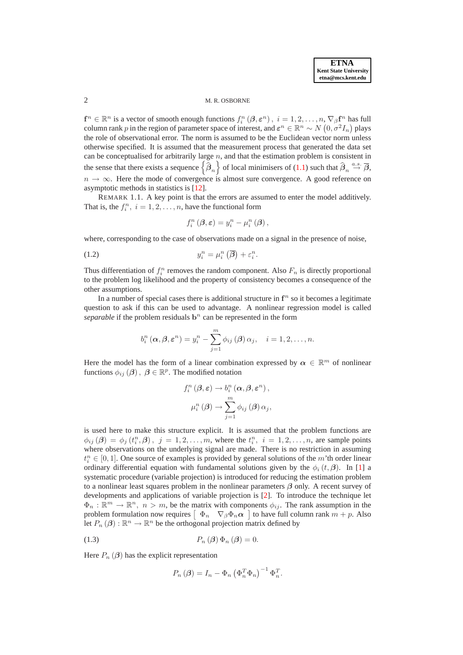# 2 M. R. OSBORNE

 $f^n \in \mathbb{R}^n$  is a vector of smooth enough functions  $f_i^n(\beta, \varepsilon^n)$ ,  $i = 1, 2, ..., n, \nabla_\beta f^n$  has full column rank p in the region of parameter space of interest, and  $\varepsilon^n \in \mathbb{R}^n \sim N\left(0, \sigma^2 I_n\right)$  plays the role of observational error. The norm is assumed to be the Euclidean vector norm unless otherwise specified. It is assumed that the measurement process that generated the data set can be conceptualised for arbitrarily large  $n$ , and that the estimation problem is consistent in the sense that there exists a sequence  $\left\{\widehat{\hat{\beta}}_n\right\}$  of local minimisers of [\(1.1\)](#page-0-0) such that  $\widehat{\beta}_n \stackrel{a.s.}{\rightarrow} \overline{\beta}$ ,  $n \to \infty$ . Here the mode of convergence is almost sure convergence. A good reference on asymptotic methods in statistics is [\[12\]](#page-14-1).

REMARK 1.1. A key point is that the errors are assumed to enter the model additively. That is, the  $f_i^n$ ,  $i = 1, 2, ..., n$ , have the functional form

<span id="page-1-0"></span>
$$
f_i^n(\boldsymbol{\beta}, \boldsymbol{\varepsilon}) = y_i^n - \mu_i^n(\boldsymbol{\beta}),
$$

where, corresponding to the case of observations made on a signal in the presence of noise,

.

$$
(1.2) \t\t y_i^n = \mu_i^n \left( \overline{\beta} \right) + \varepsilon_i^n
$$

Thus differentiation of  $f_i^n$  removes the random component. Also  $F_n$  is directly proportional to the problem log likelihood and the property of consistency becomes a consequence of the other assumptions.

In a number of special cases there is additional structure in  $f^n$  so it becomes a legitimate question to ask if this can be used to advantage. A nonlinear regression model is called separable if the problem residuals  $b^n$  can be represented in the form

$$
b_i^n\left(\boldsymbol{\alpha},\boldsymbol{\beta},\boldsymbol{\varepsilon}^n\right)=y_i^n-\sum_{j=1}^m\phi_{ij}\left(\boldsymbol{\beta}\right)\alpha_j,\quad i=1,2,\ldots,n.
$$

Here the model has the form of a linear combination expressed by  $\alpha \in \mathbb{R}^m$  of nonlinear functions  $\phi_{ij}(\boldsymbol{\beta})$ ,  $\boldsymbol{\beta} \in \mathbb{R}^p$ . The modified notation

$$
f_i^n(\boldsymbol{\beta}, \boldsymbol{\varepsilon}) \to b_i^n(\boldsymbol{\alpha}, \boldsymbol{\beta}, \boldsymbol{\varepsilon}^n),
$$

$$
\mu_i^n(\boldsymbol{\beta}) \to \sum_{j=1}^m \phi_{ij}(\boldsymbol{\beta}) \alpha_j,
$$

is used here to make this structure explicit. It is assumed that the problem functions are  $\phi_{ij}(\boldsymbol{\beta}) = \phi_j(t_i^n, \boldsymbol{\beta}), \ j = 1, 2, \dots, m$ , where the  $t_i^n$ ,  $i = 1, 2, \dots, n$ , are sample points where observations on the underlying signal are made. There is no restriction in assuming  $t_i^n \in [0, 1]$ . One source of examples is provided by general solutions of the m'th order linear ordinary differential equation with fundamental solutions given by the  $\phi_i(t, \beta)$ . In [\[1\]](#page-14-2) a systematic procedure (variable projection) is introduced for reducing the estimation problem to a nonlinear least squares problem in the nonlinear parameters  $\beta$  only. A recent survey of developments and applications of variable projection is [\[2\]](#page-14-3). To introduce the technique let  $\Phi_n : \mathbb{R}^m \to \mathbb{R}^n$ ,  $n > m$ , be the matrix with components  $\phi_{ij}$ . The rank assumption in the problem formulation now requires  $\left[\begin{array}{cc} \Phi_n & \nabla_\beta \Phi_n \alpha \end{array}\right]$  to have full column rank  $m + p$ . Also let  $P_n(\beta) : \mathbb{R}^n \to \mathbb{R}^n$  be the orthogonal projection matrix defined by

$$
P_n(\boldsymbol{\beta}) \Phi_n(\boldsymbol{\beta}) = 0.
$$

Here  $P_n(\beta)$  has the explicit representation

<span id="page-1-1"></span>
$$
P_n(\boldsymbol{\beta}) = I_n - \Phi_n \left(\Phi_n^T \Phi_n\right)^{-1} \Phi_n^T.
$$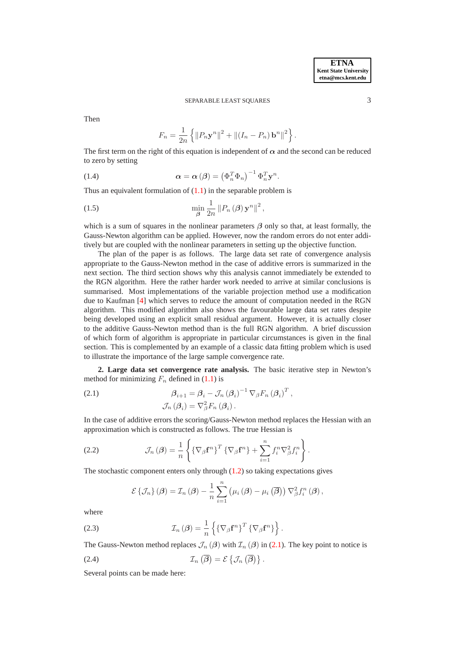# SEPARABLE LEAST SQUARES 3

Then

$$
F_n = \frac{1}{2n} \left\{ ||P_n \mathbf{y}^n||^2 + ||(I_n - P_n) \mathbf{b}^n||^2 \right\}.
$$

The first term on the right of this equation is independent of  $\alpha$  and the second can be reduced to zero by setting

<span id="page-2-5"></span>(1.4) 
$$
\alpha = \alpha (\beta) = (\Phi_n^T \Phi_n)^{-1} \Phi_n^T \mathbf{y}^n.
$$

Thus an equivalent formulation of  $(1.1)$  in the separable problem is

<span id="page-2-4"></span>(1.5) 
$$
\min_{\beta} \frac{1}{2n} \| P_n(\beta) \mathbf{y}^n \|^2,
$$

which is a sum of squares in the nonlinear parameters  $\beta$  only so that, at least formally, the Gauss-Newton algorithm can be applied. However, now the random errors do not enter additively but are coupled with the nonlinear parameters in setting up the objective function.

The plan of the paper is as follows. The large data set rate of convergence analysis appropriate to the Gauss-Newton method in the case of additive errors is summarized in the next section. The third section shows why this analysis cannot immediately be extended to the RGN algorithm. Here the rather harder work needed to arrive at similar conclusions is summarised. Most implementations of the variable projection method use a modification due to Kaufman [\[4\]](#page-14-4) which serves to reduce the amount of computation needed in the RGN algorithm. This modified algorithm also shows the favourable large data set rates despite being developed using an explicit small residual argument. However, it is actually closer to the additive Gauss-Newton method than is the full RGN algorithm. A brief discussion of which form of algorithm is appropriate in particular circumstances is given in the final section. This is complemented by an example of a classic data fitting problem which is used to illustrate the importance of the large sample convergence rate.

**2. Large data set convergence rate analysis.** The basic iterative step in Newton's method for minimizing  $F_n$  defined in [\(1.1\)](#page-0-0) is

<span id="page-2-0"></span>(2.1) 
$$
\beta_{i+1} = \beta_i - \mathcal{J}_n (\beta_i)^{-1} \nabla_{\beta} F_n (\beta_i)^T,
$$

$$
\mathcal{J}_n (\beta_i) = \nabla_{\beta}^2 F_n (\beta_i).
$$

In the case of additive errors the scoring/Gauss-Newton method replaces the Hessian with an approximation which is constructed as follows. The true Hessian is

<span id="page-2-2"></span>(2.2) 
$$
\mathcal{J}_n(\boldsymbol{\beta}) = \frac{1}{n} \left\{ \left\{ \nabla_{\boldsymbol{\beta}} \mathbf{f}^n \right\}^T \left\{ \nabla_{\boldsymbol{\beta}} \mathbf{f}^n \right\} + \sum_{i=1}^n f_i^n \nabla_{\boldsymbol{\beta}}^2 f_i^n \right\}.
$$

The stochastic component enters only through [\(1.2\)](#page-1-0) so taking expectations gives

$$
\mathcal{E}\left\{\mathcal{J}_n\right\}(\boldsymbol{\beta})=\mathcal{I}_n(\boldsymbol{\beta})-\frac{1}{n}\sum_{i=1}^n\left(\mu_i(\boldsymbol{\beta})-\mu_i(\overline{\boldsymbol{\beta}})\right)\nabla_{\boldsymbol{\beta}}^2f_i^n(\boldsymbol{\beta}),
$$

where

<span id="page-2-1"></span>(2.3) 
$$
\mathcal{I}_n(\boldsymbol{\beta}) = \frac{1}{n} \left\{ \left\{ \nabla_{\boldsymbol{\beta}} \mathbf{f}^n \right\}^T \left\{ \nabla_{\boldsymbol{\beta}} \mathbf{f}^n \right\} \right\}.
$$

The Gauss-Newton method replaces  $\mathcal{J}_n(\beta)$  with  $\mathcal{I}_n(\beta)$  in [\(2.1\)](#page-2-0). The key point to notice is

<span id="page-2-3"></span>(2.4) 
$$
\mathcal{I}_n\left(\overline{\beta}\right) = \mathcal{E}\left\{\mathcal{J}_n\left(\overline{\beta}\right)\right\}.
$$

Several points can be made here: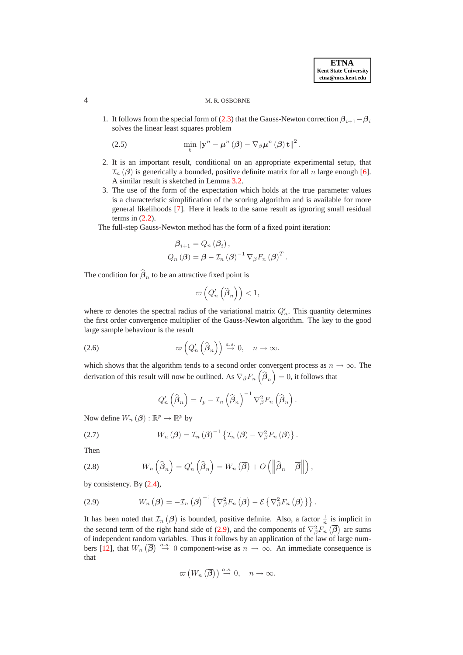#### 4 M. R. OSBORNE

1. It follows from the special form of [\(2.3\)](#page-2-1) that the Gauss-Newton correction  $\beta_{i+1}-\beta_i$ solves the linear least squares problem

<span id="page-3-4"></span>(2.5) 
$$
\min_{\mathbf{t}} \|\mathbf{y}^{n} - \boldsymbol{\mu}^{n}(\boldsymbol{\beta}) - \nabla_{\boldsymbol{\beta}} \boldsymbol{\mu}^{n}(\boldsymbol{\beta}) \mathbf{t}\|^{2}.
$$

- 2. It is an important result, conditional on an appropriate experimental setup, that  $\mathcal{I}_n(\beta)$  is generically a bounded, positive definite matrix for all n large enough [\[6\]](#page-14-0). A similar result is sketched in Lemma [3.2.](#page-5-0)
- 3. The use of the form of the expectation which holds at the true parameter values is a characteristic simplification of the scoring algorithm and is available for more general likelihoods [\[7\]](#page-14-5). Here it leads to the same result as ignoring small residual terms in  $(2.2)$ .

The full-step Gauss-Newton method has the form of a fixed point iteration:

$$
\beta_{i+1} = Q_n (\beta_i),
$$
  
\n
$$
Q_n (\beta) = \beta - \mathcal{I}_n (\beta)^{-1} \nabla_{\beta} F_n (\beta)^T.
$$

The condition for  $\beta_n$  to be an attractive fixed point is

$$
\varpi\left(Q'_n\left(\widehat{\boldsymbol{\beta}}_n\right)\right)<1,
$$

where  $\varpi$  denotes the spectral radius of the variational matrix  $Q'_n$ . This quantity determines the first order convergence multiplier of the Gauss-Newton algorithm. The key to the good large sample behaviour is the result

<span id="page-3-1"></span>(2.6) 
$$
\varpi\left(Q'_n\left(\widehat{\boldsymbol{\beta}}_n\right)\right) \stackrel{a.s.}{\rightarrow} 0, \quad n \rightarrow \infty.
$$

which shows that the algorithm tends to a second order convergent process as  $n \to \infty$ . The derivation of this result will now be outlined. As  $\nabla_{\beta} F_n\left(\widehat{\beta}_n\right) = 0$ , it follows that

$$
Q'_n\left(\widehat{\boldsymbol{\beta}}_n\right) = I_p - \mathcal{I}_n\left(\widehat{\boldsymbol{\beta}}_n\right)^{-1} \nabla_{\beta}^2 F_n\left(\widehat{\boldsymbol{\beta}}_n\right).
$$

Now define  $W_n(\boldsymbol{\beta}) : \mathbb{R}^p \to \mathbb{R}^p$  by

<span id="page-3-3"></span>(2.7) 
$$
W_n(\boldsymbol{\beta}) = \mathcal{I}_n(\boldsymbol{\beta})^{-1} \left\{ \mathcal{I}_n(\boldsymbol{\beta}) - \nabla_{\boldsymbol{\beta}}^2 F_n(\boldsymbol{\beta}) \right\}.
$$

Then

<span id="page-3-2"></span>(2.8) 
$$
W_n\left(\widehat{\boldsymbol{\beta}}_n\right) = Q'_n\left(\widehat{\boldsymbol{\beta}}_n\right) = W_n\left(\overline{\boldsymbol{\beta}}\right) + O\left(\left\|\widehat{\boldsymbol{\beta}}_n - \overline{\boldsymbol{\beta}}\right\|\right),
$$

by consistency. By [\(2.4\)](#page-2-3),

<span id="page-3-0"></span>(2.9) 
$$
W_n(\overline{\boldsymbol{\beta}}) = -\mathcal{I}_n(\overline{\boldsymbol{\beta}})^{-1} \left\{ \nabla_{\boldsymbol{\beta}}^2 F_n(\overline{\boldsymbol{\beta}}) - \mathcal{E} \left\{ \nabla_{\boldsymbol{\beta}}^2 F_n(\overline{\boldsymbol{\beta}}) \right\} \right\}.
$$

It has been noted that  $\mathcal{I}_n(\overline{\beta})$  is bounded, positive definite. Also, a factor  $\frac{1}{n}$  is implicit in the second term of the right hand side of [\(2.9\)](#page-3-0), and the components of  $\nabla^2_{\beta} F_n (\overline{\beta})$  are sums of independent random variables. Thus it follows by an application of the law of large num-bers [\[12\]](#page-14-1), that  $W_n(\overline{\beta}) \stackrel{a.s.}{\rightarrow} 0$  component-wise as  $n \rightarrow \infty$ . An immediate consequence is that

$$
\varpi\left(W_n\left(\overline{\beta}\right)\right)\stackrel{a.s.}{\rightarrow} 0,\quad n\to\infty.
$$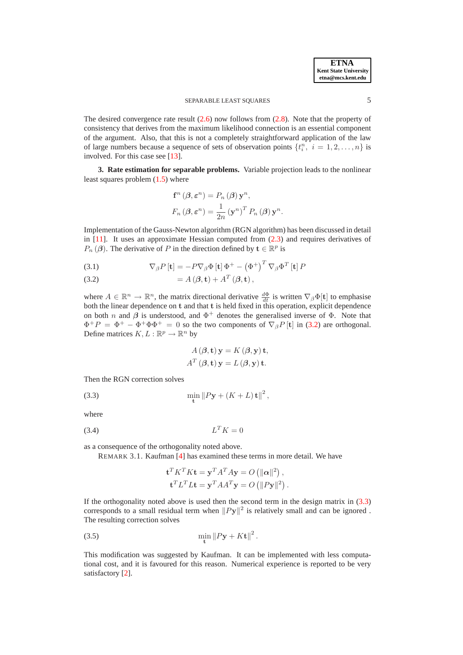### SEPARABLE LEAST SQUARES 5

The desired convergence rate result  $(2.6)$  now follows from  $(2.8)$ . Note that the property of consistency that derives from the maximum likelihood connection is an essential component of the argument. Also, that this is not a completely straightforward application of the law of large numbers because a sequence of sets of observation points  $\{t_i^n, i = 1, 2, ..., n\}$  is involved. For this case see [\[13\]](#page-14-6).

**3. Rate estimation for separable problems.** Variable projection leads to the nonlinear least squares problem [\(1.5\)](#page-2-4) where

$$
\mathbf{f}^{n}(\boldsymbol{\beta}, \boldsymbol{\varepsilon}^{n}) = P_{n}(\boldsymbol{\beta}) \mathbf{y}^{n},
$$

$$
F_{n}(\boldsymbol{\beta}, \boldsymbol{\varepsilon}^{n}) = \frac{1}{2n} (\mathbf{y}^{n})^{T} P_{n}(\boldsymbol{\beta}) \mathbf{y}^{n}.
$$

Implementation of the Gauss-Newton algorithm (RGN algorithm) has been discussed in detail in [\[11\]](#page-14-7). It uses an approximate Hessian computed from [\(2.3\)](#page-2-1) and requires derivatives of  $P_n(\boldsymbol{\beta})$ . The derivative of P in the direction defined by  $\mathbf{t} \in \mathbb{R}^p$  is

<span id="page-4-2"></span>(3.1) 
$$
\nabla_{\beta} P[\mathbf{t}] = -P \nabla_{\beta} \Phi[\mathbf{t}] \Phi^{+} - (\Phi^{+})^{T} \nabla_{\beta} \Phi^{T}[\mathbf{t}] P
$$

<span id="page-4-0"></span>
$$
(3.2) \qquad \qquad = A\left(\beta, \mathbf{t}\right) + A^T\left(\beta, \mathbf{t}\right),
$$

where  $A \in \mathbb{R}^n \to \mathbb{R}^n$ , the matrix directional derivative  $\frac{d\Phi}{dt}$  is written  $\nabla_\beta \Phi[\mathbf{t}]$  to emphasise both the linear dependence on  $t$  and that  $t$  is held fixed in this operation, explicit dependence on both *n* and  $\beta$  is understood, and  $\Phi^+$  denotes the generalised inverse of  $\Phi$ . Note that  $\Phi^+P = \Phi^+ - \Phi^+\Phi\Phi^+ = 0$  so the two components of  $\nabla_\beta P[\mathbf{t}]$  in [\(3.2\)](#page-4-0) are orthogonal. Define matrices  $K, L : \mathbb{R}^p \to \mathbb{R}^n$  by

$$
A(\boldsymbol{\beta}, \mathbf{t}) \mathbf{y} = K(\boldsymbol{\beta}, \mathbf{y}) \mathbf{t},
$$

$$
A^T(\boldsymbol{\beta}, \mathbf{t}) \mathbf{y} = L(\boldsymbol{\beta}, \mathbf{y}) \mathbf{t}.
$$

Then the RGN correction solves

<span id="page-4-1"></span>(3.3) 
$$
\min_{\mathbf{t}} \|P\mathbf{y} + (K+L)\mathbf{t}\|^2,
$$

where

(3.4) L <sup>T</sup> K = 0

as a consequence of the orthogonality noted above.

REMARK 3.1. Kaufman [\[4\]](#page-14-4) has examined these terms in more detail. We have

<span id="page-4-4"></span>
$$
\mathbf{t}^T K^T K \mathbf{t} = \mathbf{y}^T A^T A \mathbf{y} = O\left(\|\boldsymbol{\alpha}\|^2\right),
$$
  

$$
\mathbf{t}^T L^T L \mathbf{t} = \mathbf{y}^T A A^T \mathbf{y} = O\left(\|P\mathbf{y}\|^2\right).
$$

If the orthogonality noted above is used then the second term in the design matrix in  $(3.3)$ corresponds to a small residual term when  $||Py||^2$  is relatively small and can be ignored. The resulting correction solves

<span id="page-4-3"></span>
$$
\min_{\mathbf{t}} \|P\mathbf{y} + K\mathbf{t}\|^2.
$$

This modification was suggested by Kaufman. It can be implemented with less computational cost, and it is favoured for this reason. Numerical experience is reported to be very satisfactory [\[2\]](#page-14-3).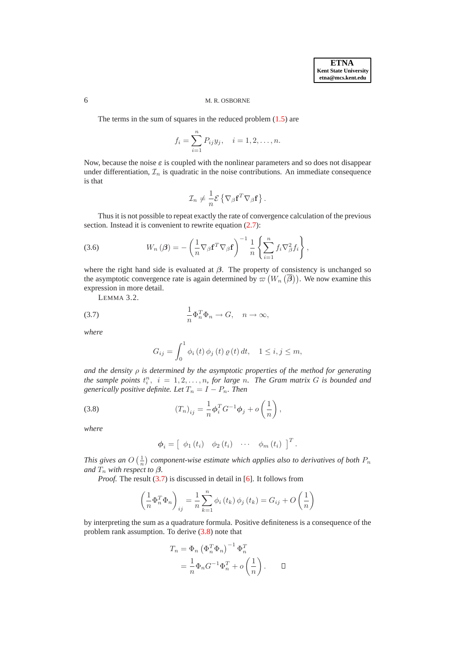#### 6 M. R. OSBORNE

The terms in the sum of squares in the reduced problem [\(1.5\)](#page-2-4) are

$$
f_i = \sum_{i=1}^n P_{ij} y_j, \quad i = 1, 2, \dots, n.
$$

Now, because the noise  $\varepsilon$  is coupled with the nonlinear parameters and so does not disappear under differentiation,  $\mathcal{I}_n$  is quadratic in the noise contributions. An immediate consequence is that

$$
\mathcal{I}_n \neq \frac{1}{n} \mathcal{E} \left\{ \nabla_{\beta} \mathbf{f}^T \nabla_{\beta} \mathbf{f} \right\}.
$$

Thus it is not possible to repeat exactly the rate of convergence calculation of the previous section. Instead it is convenient to rewrite equation  $(2.7)$ :

<span id="page-5-3"></span>(3.6) 
$$
W_n(\boldsymbol{\beta}) = -\left(\frac{1}{n}\nabla_{\boldsymbol{\beta}}\mathbf{f}^T\nabla_{\boldsymbol{\beta}}\mathbf{f}\right)^{-1}\frac{1}{n}\left\{\sum_{i=1}^n f_i\nabla_{\boldsymbol{\beta}}^2f_i\right\},
$$

where the right hand side is evaluated at  $\beta$ . The property of consistency is unchanged so the asymptotic convergence rate is again determined by  $\varpi(W_n(\overline{\beta}))$ . We now examine this expression in more detail.

<span id="page-5-1"></span><span id="page-5-0"></span>LEMMA 3.2.

(3.7) 
$$
\frac{1}{n}\Phi_n^T\Phi_n \to G, \quad n \to \infty,
$$

*where*

$$
G_{ij} = \int_0^1 \phi_i(t) \, \phi_j(t) \, \varrho(t) \, dt, \quad 1 \le i, j \le m,
$$

*and the density*  $\rho$  *is determined by the asymptotic properties of the method for generating* the sample points  $t_i^n$ ,  $i = 1, 2, ..., n$ , for large n. The Gram matrix G is bounded and *generically positive definite. Let*  $T_n = I - P_n$ *. Then* 

<span id="page-5-2"></span>(3.8) 
$$
(T_n)_{ij} = \frac{1}{n} \phi_i^T G^{-1} \phi_j + o\left(\frac{1}{n}\right),
$$

*where*

$$
\phi_i = \left[ \begin{array}{cccc} \phi_1(t_i) & \phi_2(t_i) & \cdots & \phi_m(t_i) \end{array} \right]^T.
$$

*This gives an*  $O\left(\frac{1}{n}\right)$  $\frac{1}{n}$ ) component-wise estimate which applies also to derivatives of both  $P_n$ *and*  $T_n$  *with respect to*  $\beta$ *.* 

*Proof.* The result [\(3.7\)](#page-5-1) is discussed in detail in [\[6\]](#page-14-0). It follows from

$$
\left(\frac{1}{n}\Phi_n^T\Phi_n\right)_{ij} = \frac{1}{n}\sum_{k=1}^n \phi_i\left(t_k\right)\phi_j\left(t_k\right) = G_{ij} + O\left(\frac{1}{n}\right)
$$

by interpreting the sum as a quadrature formula. Positive definiteness is a consequence of the problem rank assumption. To derive [\(3.8\)](#page-5-2) note that

$$
T_n = \Phi_n (\Phi_n^T \Phi_n)^{-1} \Phi_n^T
$$
  
=  $\frac{1}{n} \Phi_n G^{-1} \Phi_n^T + o\left(\frac{1}{n}\right)$ .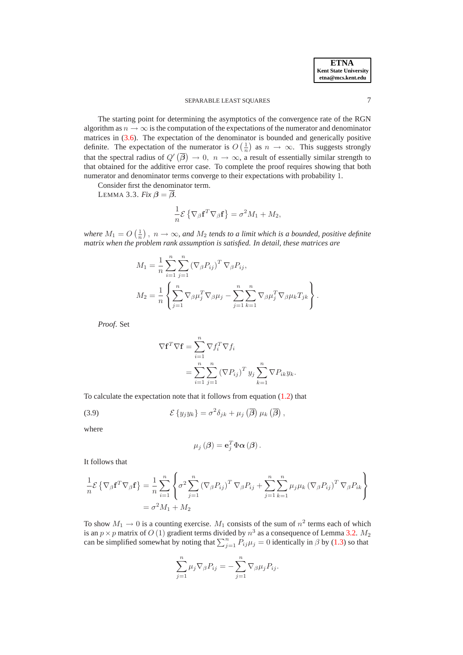# SEPARABLE LEAST SOUARES 7

The starting point for determining the asymptotics of the convergence rate of the RGN algorithm as  $n \to \infty$  is the computation of the expectations of the numerator and denominator matrices in [\(3.6\)](#page-5-3). The expectation of the denominator is bounded and generically positive definite. The expectation of the numerator is  $O\left(\frac{1}{n}\right)$  $\frac{1}{n}$ ) as  $n \to \infty$ . This suggests strongly that the spectral radius of  $Q'(\overline{\beta}) \to 0$ ,  $n \to \infty$ , a result of essentially similar strength to that obtained for the additive error case. To complete the proof requires showing that both numerator and denominator terms converge to their expectations with probability 1.

Consider first the denominator term.

LEMMA 3.3. *Fix*  $\beta = \overline{\beta}$ *.* 

<span id="page-6-0"></span>
$$
\frac{1}{n} \mathcal{E} \left\{ \nabla_{\beta} \mathbf{f}^T \nabla_{\beta} \mathbf{f} \right\} = \sigma^2 M_1 + M_2,
$$

where  $M_1 = O\left(\frac{1}{n}\right)$  $\frac{1}{n}$ ),  $n \to \infty$ , and  $M_2$  *tends to a limit which is a bounded, positive definite matrix when the problem rank assumption is satisfied. In detail, these matrices are*

$$
M_1 = \frac{1}{n} \sum_{i=1}^n \sum_{j=1}^n (\nabla_{\beta} P_{ij})^T \nabla_{\beta} P_{ij},
$$
  

$$
M_2 = \frac{1}{n} \left\{ \sum_{j=1}^n \nabla_{\beta} \mu_j^T \nabla_{\beta} \mu_j - \sum_{j=1}^n \sum_{k=1}^n \nabla_{\beta} \mu_j^T \nabla_{\beta} \mu_k T_{jk} \right\}.
$$

*Proof*. Set

$$
\nabla \mathbf{f}^T \nabla \mathbf{f} = \sum_{i=1}^n \nabla f_i^T \nabla f_i
$$
  
= 
$$
\sum_{i=1}^n \sum_{j=1}^n (\nabla P_{ij})^T y_j \sum_{k=1}^n \nabla P_{ik} y_k.
$$

To calculate the expectation note that it follows from equation [\(1.2\)](#page-1-0) that

<span id="page-6-1"></span>(3.9) 
$$
\mathcal{E}\left\{y_jy_k\right\} = \sigma^2\delta_{jk} + \mu_j\left(\overline{\beta}\right)\mu_k\left(\overline{\beta}\right),
$$

where

$$
\mu_j(\boldsymbol{\beta}) = \mathbf{e}_j^T \Phi \boldsymbol{\alpha}(\boldsymbol{\beta}).
$$

It follows that

$$
\frac{1}{n} \mathcal{E} \left\{ \nabla_{\beta} \mathbf{f}^T \nabla_{\beta} \mathbf{f} \right\} = \frac{1}{n} \sum_{i=1}^n \left\{ \sigma^2 \sum_{j=1}^n \left( \nabla_{\beta} P_{ij} \right)^T \nabla_{\beta} P_{ij} + \sum_{j=1}^n \sum_{k=1}^n \mu_j \mu_k \left( \nabla_{\beta} P_{ij} \right)^T \nabla_{\beta} P_{ik} \right\}
$$
\n
$$
= \sigma^2 M_1 + M_2
$$

To show  $M_1 \rightarrow 0$  is a counting exercise.  $M_1$  consists of the sum of  $n^2$  terms each of which is an  $p \times p$  matrix of O (1) gradient terms divided by  $n^3$  as a consequence of Lemma [3.2.](#page-5-0)  $M_2$ can be simplified somewhat by noting that  $\sum_{j=1}^{n} P_{ij} \mu_j = 0$  identically in  $\beta$  by [\(1.3\)](#page-1-1) so that

$$
\sum_{j=1}^n \mu_j \nabla_\beta P_{ij} = -\sum_{j=1}^n \nabla_\beta \mu_j P_{ij}.
$$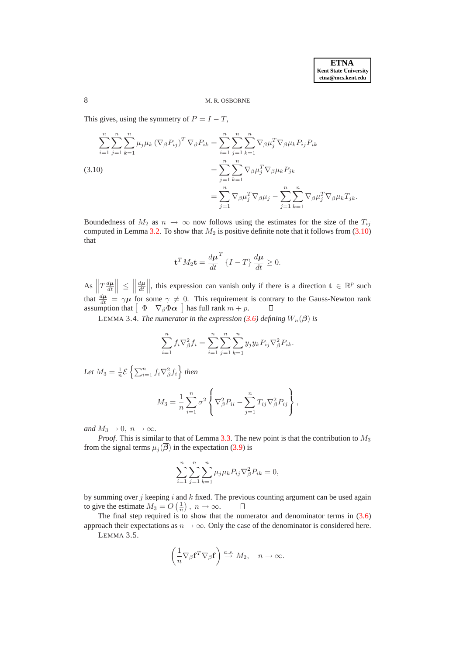8 M.R. OSBORNE

This gives, using the symmetry of  $P = I - T$ ,

<span id="page-7-0"></span>
$$
\sum_{i=1}^{n} \sum_{j=1}^{n} \sum_{k=1}^{n} \mu_{j} \mu_{k} \left( \nabla_{\beta} P_{ij} \right)^{T} \nabla_{\beta} P_{ik} = \sum_{i=1}^{n} \sum_{j=1}^{n} \sum_{k=1}^{n} \nabla_{\beta} \mu_{j}^{T} \nabla_{\beta} \mu_{k} P_{ij} P_{ik}
$$
\n(3.10)\n
$$
= \sum_{j=1}^{n} \sum_{k=1}^{n} \nabla_{\beta} \mu_{j}^{T} \nabla_{\beta} \mu_{k} P_{jk}
$$
\n
$$
= \sum_{j=1}^{n} \nabla_{\beta} \mu_{j}^{T} \nabla_{\beta} \mu_{j} - \sum_{j=1}^{n} \sum_{k=1}^{n} \nabla_{\beta} \mu_{j}^{T} \nabla_{\beta} \mu_{k} T_{jk}.
$$

Boundedness of  $M_2$  as  $n \to \infty$  now follows using the estimates for the size of the  $T_{ij}$ computed in Lemma [3.2.](#page-5-0) To show that  $M_2$  is positive definite note that it follows from [\(3.10\)](#page-7-0) that

$$
\mathbf{t}^T M_2 \mathbf{t} = \frac{d\boldsymbol{\mu}}{dt}^T \{I - T\} \frac{d\boldsymbol{\mu}}{dt} \ge 0.
$$

As  $\left\|T\frac{d\mu}{dt}\right\|$  $\Vert \leq$  $\biggl\vert \biggl\vert$  $\frac{d\mu}{dt}$ ||, this expression can vanish only if there is a direction  $\mathbf{t} \in \mathbb{R}^p$  such that  $\frac{d\mu}{dt} = \gamma \mu$  for some  $\gamma \neq 0$ . This requirement is contrary to the Gauss-Newton rank assumption that  $\left[\begin{array}{cc} \Phi & \nabla_{\beta} \Phi \alpha \end{array}\right]$  has full rank  $m + p$ .

LEMMA 3.4. *The numerator in the expression* [\(3.6\)](#page-5-3) *defining*  $W_n(\overline{B})$  *is* 

<span id="page-7-1"></span>
$$
\sum_{i=1}^{n} f_i \nabla_{\beta}^2 f_i = \sum_{i=1}^{n} \sum_{j=1}^{n} \sum_{k=1}^{n} y_j y_k P_{ij} \nabla_{\beta}^2 P_{ik}.
$$

Let  $M_3 = \frac{1}{n}$  $\frac{1}{n} \mathcal{E} \left\{ \sum_{i=1}^n f_i \nabla_\beta^2 f_i \right\}$  then

$$
M_3 = \frac{1}{n} \sum_{i=1}^n \sigma^2 \left\{ \nabla_\beta^2 P_{ii} - \sum_{j=1}^n T_{ij} \nabla_\beta^2 P_{ij} \right\},\,
$$

*and*  $M_3 \rightarrow 0$ ,  $n \rightarrow \infty$ *.* 

*Proof.* This is similar to that of Lemma [3.3.](#page-6-0) The new point is that the contribution to  $M_3$ from the signal terms  $\mu_j(\overline{\beta})$  in the expectation [\(3.9\)](#page-6-1) is

$$
\sum_{i=1}^{n} \sum_{j=1}^{n} \sum_{k=1}^{n} \mu_{j} \mu_{k} P_{ij} \nabla_{\beta}^{2} P_{ik} = 0,
$$

by summing over  $j$  keeping  $i$  and  $k$  fixed. The previous counting argument can be used again to give the estimate  $M_3 = O\left(\frac{1}{n}\right)$  $\frac{1}{n}$ ,  $n \to \infty$ .  $\Box$ 

The final step required is to show that the numerator and denominator terms in  $(3.6)$ approach their expectations as  $n \to \infty$ . Only the case of the denominator is considered here.

LEMMA 3.5.

<span id="page-7-2"></span>
$$
\left(\frac{1}{n}\nabla_\beta\mathbf{f}^T\nabla_\beta\mathbf{f}\right)\stackrel{a.s.}{\rightarrow}M_2,\quad n\rightarrow\infty.
$$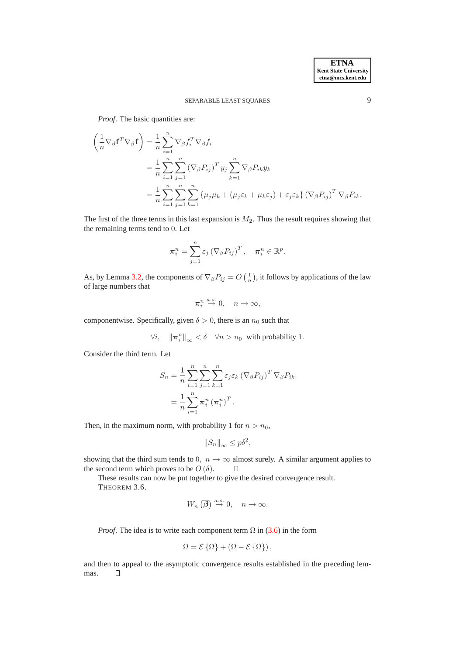*Proof.* The basic quantities are:

$$
\left(\frac{1}{n}\nabla_{\beta}\mathbf{f}^{T}\nabla_{\beta}\mathbf{f}\right) = \frac{1}{n}\sum_{i=1}^{n}\nabla_{\beta}f_{i}^{T}\nabla_{\beta}f_{i}
$$
\n
$$
= \frac{1}{n}\sum_{i=1}^{n}\sum_{j=1}^{n}\left(\nabla_{\beta}P_{ij}\right)^{T}y_{j}\sum_{k=1}^{n}\nabla_{\beta}P_{ik}y_{k}
$$
\n
$$
= \frac{1}{n}\sum_{i=1}^{n}\sum_{j=1}^{n}\sum_{k=1}^{n}\left\{\mu_{j}\mu_{k} + \left(\mu_{j}\varepsilon_{k} + \mu_{k}\varepsilon_{j}\right) + \varepsilon_{j}\varepsilon_{k}\right\}\left(\nabla_{\beta}P_{ij}\right)^{T}\nabla_{\beta}P_{ik}.
$$

The first of the three terms in this last expansion is  $M_2$ . Thus the result requires showing that the remaining terms tend to 0. Let

$$
\boldsymbol{\pi}_{i}^{n} = \sum_{j=1}^{n} \varepsilon_{j} (\nabla_{\beta} P_{ij})^{T}, \quad \boldsymbol{\pi}_{i}^{n} \in \mathbb{R}^{p}.
$$

As, by Lemma [3.2,](#page-5-0) the components of  $\nabla_{\beta} P_{ij} = O\left(\frac{1}{n}\right)$  $\frac{1}{n}$ ), it follows by applications of the law of large numbers that

$$
\pmb{\pi}_{i}^{n}\stackrel{a.s.}{\rightarrow}0,\quad n\rightarrow\infty,
$$

componentwise. Specifically, given  $\delta > 0$ , there is an  $n_0$  such that

$$
\forall i, \quad \|\boldsymbol{\pi}_{i}^{n}\|_{\infty} < \delta \quad \forall n > n_{0} \text{ with probability } 1.
$$

Consider the third term. Let

$$
S_n = \frac{1}{n} \sum_{i=1}^n \sum_{j=1}^n \sum_{k=1}^n \varepsilon_j \varepsilon_k \left( \nabla_\beta P_{ij} \right)^T \nabla_\beta P_{ik}
$$
  
= 
$$
\frac{1}{n} \sum_{i=1}^n \pi_i^n \left( \pi_i^n \right)^T.
$$

Then, in the maximum norm, with probability 1 for  $n > n_0$ ,

$$
||S_n||_{\infty} \le p\delta^2,
$$

showing that the third sum tends to 0,  $n \to \infty$  almost surely. A similar argument applies to the second term which proves to be  $O(\delta)$ .  $\square$ the second term which proves to be  $O(\delta)$ .

These results can now be put together to give the desired convergence result. THEOREM 3.6.

$$
W_n(\overline{\beta}) \stackrel{a.s.}{\rightarrow} 0, \quad n \to \infty.
$$

*Proof.* The idea is to write each component term  $\Omega$  in [\(3.6\)](#page-5-3) in the form

$$
\Omega = \mathcal{E}\left\{\Omega\right\} + \left(\Omega - \mathcal{E}\left\{\Omega\right\}\right),
$$

and then to appeal to the asymptotic convergence results established in the preceding lemmas. $\Box$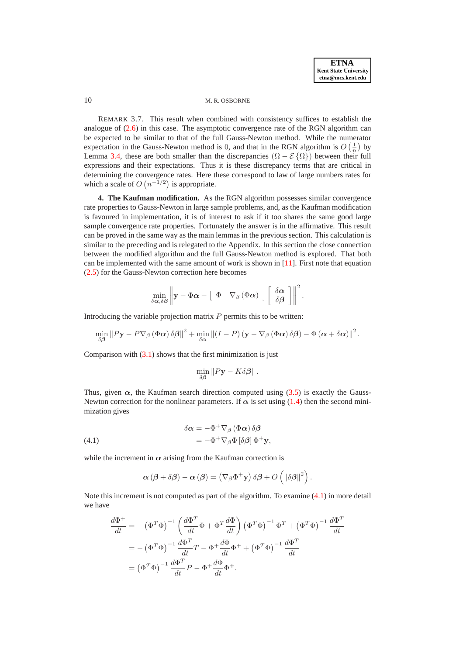#### 10 M. R. OSBORNE

REMARK 3.7. This result when combined with consistency suffices to establish the analogue of [\(2.6\)](#page-3-1) in this case. The asymptotic convergence rate of the RGN algorithm can be expected to be similar to that of the full Gauss-Newton method. While the numerator expectation in the Gauss-Newton method is 0, and that in the RGN algorithm is  $O\left(\frac{1}{n}\right)$  $\frac{1}{n}$ ) by Lemma [3.4,](#page-7-1) these are both smaller than the discrepancies  $(\Omega - \mathcal{E} {\Omega})$  between their full expressions and their expectations. Thus it is these discrepancy terms that are critical in determining the convergence rates. Here these correspond to law of large numbers rates for which a scale of  $O(n^{-1/2})$  is appropriate.

**4. The Kaufman modification.** As the RGN algorithm possesses similar convergence rate properties to Gauss-Newton in large sample problems, and, as the Kaufman modification is favoured in implementation, it is of interest to ask if it too shares the same good large sample convergence rate properties. Fortunately the answer is in the affirmative. This result can be proved in the same way as the main lemmas in the previous section. This calculation is similar to the preceding and is relegated to the Appendix. In this section the close connection between the modified algorithm and the full Gauss-Newton method is explored. That both can be implemented with the same amount of work is shown in [\[11\]](#page-14-7). First note that equation [\(2.5\)](#page-3-4) for the Gauss-Newton correction here becomes

$$
\min_{\delta \boldsymbol{\alpha}, \delta \boldsymbol{\beta}} \left\| \mathbf{y} - \Phi \boldsymbol{\alpha} - \begin{bmatrix} \Phi & \nabla_{\beta} (\Phi \boldsymbol{\alpha}) \end{bmatrix} \begin{bmatrix} \delta \boldsymbol{\alpha} \\ \delta \boldsymbol{\beta} \end{bmatrix} \right\|^2.
$$

Introducing the variable projection matrix  $P$  permits this to be written:

$$
\min_{\delta\boldsymbol{\beta}}\|P\mathbf{y}-P\nabla_{\beta}\left(\Phi\boldsymbol{\alpha}\right)\delta\boldsymbol{\beta}\|^{2}+\min_{\delta\boldsymbol{\alpha}}\left\|\left(I-P\right)\left(\mathbf{y}-\nabla_{\beta}\left(\Phi\boldsymbol{\alpha}\right)\delta\boldsymbol{\beta}\right)-\Phi\left(\boldsymbol{\alpha}+\delta\boldsymbol{\alpha}\right)\right\|^{2}.
$$

Comparison with  $(3.1)$  shows that the first minimization is just

$$
\min_{\delta\boldsymbol{\beta}}\|P\mathbf{y} - K\delta\boldsymbol{\beta}\|.
$$

Thus, given  $\alpha$ , the Kaufman search direction computed using [\(3.5\)](#page-4-3) is exactly the Gauss-Newton correction for the nonlinear parameters. If  $\alpha$  is set using [\(1.4\)](#page-2-5) then the second minimization gives

<span id="page-9-0"></span>(4.1) 
$$
\delta \alpha = -\Phi^+ \nabla_\beta (\Phi \alpha) \delta \beta = -\Phi^+ \nabla_\beta \Phi [\delta \beta] \Phi^+ \mathbf{y},
$$

while the increment in  $\alpha$  arising from the Kaufman correction is

$$
\boldsymbol{\alpha}\left(\boldsymbol{\beta}+\delta\boldsymbol{\beta}\right)-\boldsymbol{\alpha}\left(\boldsymbol{\beta}\right)=\left(\nabla_{\boldsymbol{\beta}}\Phi^{+}\mathbf{y}\right)\delta\boldsymbol{\beta}+O\left(\left\Vert \delta\boldsymbol{\beta}\right\Vert ^{2}\right).
$$

Note this increment is not computed as part of the algorithm. To examine [\(4.1\)](#page-9-0) in more detail we have

$$
\frac{d\Phi^{+}}{dt} = -(\Phi^{T}\Phi)^{-1} \left(\frac{d\Phi^{T}}{dt}\Phi + \Phi^{T}\frac{d\Phi}{dt}\right) (\Phi^{T}\Phi)^{-1} \Phi^{T} + (\Phi^{T}\Phi)^{-1} \frac{d\Phi^{T}}{dt}
$$

$$
= -(\Phi^{T}\Phi)^{-1} \frac{d\Phi^{T}}{dt}T - \Phi^{+} \frac{d\Phi}{dt}\Phi^{+} + (\Phi^{T}\Phi)^{-1} \frac{d\Phi^{T}}{dt}
$$

$$
= (\Phi^{T}\Phi)^{-1} \frac{d\Phi^{T}}{dt}P - \Phi^{+} \frac{d\Phi}{dt}\Phi^{+}.
$$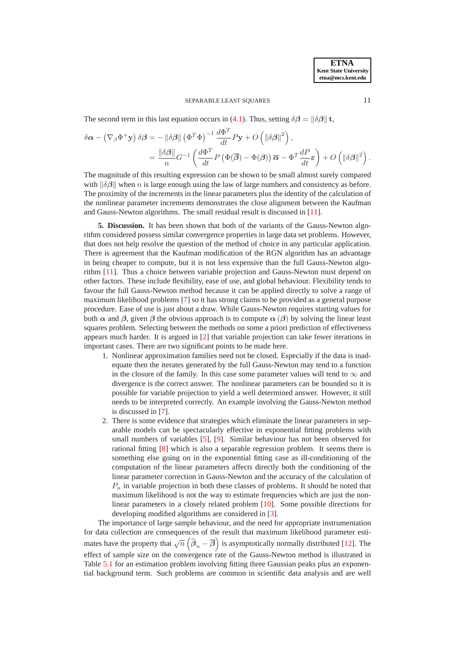#### SEPARABLE LEAST SOUARES 11

The second term in this last equation occurs in [\(4.1\)](#page-9-0). Thus, setting  $\delta \beta = ||\delta \beta||$  t,

$$
\delta \alpha - \left(\nabla_{\beta} \Phi^+ \mathbf{y}\right) \delta \beta = - \|\delta \beta\| \left(\Phi^T \Phi\right)^{-1} \frac{d\Phi^T}{dt} P \mathbf{y} + O\left(\|\delta \beta\|^2\right),
$$
  

$$
= \frac{\|\delta \beta\|}{n} G^{-1} \left(\frac{d\Phi^T}{dt} P\left(\Phi(\overline{\beta}) - \Phi(\beta)\right) \overline{\alpha} - \Phi^T \frac{dP}{dt} \varepsilon\right) + O\left(\|\delta \beta\|^2\right).
$$

The magnitude of this resulting expression can be shown to be small almost surely compared with  $\|\delta\beta\|$  when n is large enough using the law of large numbers and consistency as before. The proximity of the increments in the linear parameters plus the identity of the calculation of the nonlinear parameter increments demonstrates the close alignment between the Kaufman and Gauss-Newton algorithms. The small residual result is discussed in [\[11\]](#page-14-7).

**5. Discussion.** It has been shown that both of the variants of the Gauss-Newton algorithm considered possess similar convergence properties in large data set problems. However, that does not help resolve the question of the method of choice in any particular application. There is agreement that the Kaufman modification of the RGN algorithm has an advantage in being cheaper to compute, but it is not less expensive than the full Gauss-Newton algorithm [\[11\]](#page-14-7). Thus a choice between variable projection and Gauss-Newton must depend on other factors. These include flexibility, ease of use, and global behaviour. Flexibility tends to favour the full Gauss-Newton method because it can be applied directly to solve a range of maximum likelihood problems [\[7\]](#page-14-5) so it has strong claims to be provided as a general purpose procedure. Ease of use is just about a draw. While Gauss-Newton requires starting values for both  $\alpha$  and  $\beta$ , given  $\beta$  the obvious approach is to compute  $\alpha$  ( $\beta$ ) by solving the linear least squares problem. Selecting between the methods on some a priori prediction of effectiveness appears much harder. It is argued in [\[2\]](#page-14-3) that variable projection can take fewer iterations in important cases. There are two significant points to be made here.

- 1. Nonlinear approximation families need not be closed. Especially if the data is inadequate then the iterates generated by the full Gauss-Newton may tend to a function in the closure of the family. In this case some parameter values will tend to  $\infty$  and divergence is the correct answer. The nonlinear parameters can be bounded so it is possible for variable projection to yield a well determined answer. However, it still needs to be interpreted correctly. An example involving the Gauss-Newton method is discussed in [\[7\]](#page-14-5).
- 2. There is some evidence that strategies which eliminate the linear parameters in separable models can be spectacularly effective in exponential fitting problems with small numbers of variables [\[5\]](#page-14-8), [\[9\]](#page-14-9). Similar behaviour has not been observed for rational fitting [\[8\]](#page-14-10) which is also a separable regression problem. It seems there is something else going on in the exponential fitting case as ill-conditioning of the computation of the linear parameters affects directly both the conditioning of the linear parameter correction in Gauss-Newton and the accuracy of the calculation of  $P_n$  in variable projection in both these classes of problems. It should be noted that maximum likelihood is not the way to estimate frequencies which are just the nonlinear parameters in a closely related problem [\[10\]](#page-14-11). Some possible directions for developing modified algorithms are considered in [\[3\]](#page-14-12).

The importance of large sample behaviour, and the need for appropriate instrumentation for data collection are consequences of the result that maximum likelihood parameter estimates have the property that  $\sqrt{n}(\hat{\beta}_n - \overline{\beta})$  is asymptotically normally distributed [\[12\]](#page-14-1). The effect of sample size on the convergence rate of the Gauss-Newton method is illustrated in Table [5.1](#page-11-0) for an estimation problem involving fitting three Gaussian peaks plus an exponential background term. Such problems are common in scientific data analysis and are well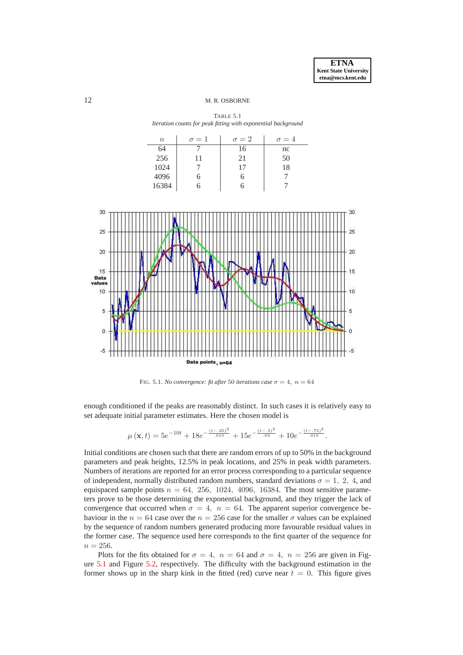### <span id="page-11-0"></span>12 M. R. OSBORNE

TABLE 5.1 *Iteration counts for peak fitting with exponential background*

| $n_{\rm s}$ | $\sigma=1$ | $\sigma = 2$ | $\sigma = 4$ |
|-------------|------------|--------------|--------------|
| 64          |            | 16           | nc           |
| 256         | 11         | 21           | 50           |
| 1024        |            | 17           | 18           |
| 4096        |            |              |              |
| 16384       |            |              |              |



<span id="page-11-1"></span>FIG. 5.1. *No convergence: fit after* 50 *iterations case*  $\sigma = 4$ ,  $n = 64$ 

enough conditioned if the peaks are reasonably distinct. In such cases it is relatively easy to set adequate initial parameter estimates. Here the chosen model is

$$
\mu\left(\mathbf{x},t\right) = 5e^{-10t} + 18e^{-\frac{(t-.25)^2}{.015}} + 15e^{-\frac{(t-.5)^2}{.03}} + 10e^{-\frac{(t-.75)^2}{.015}}.
$$

Initial conditions are chosen such that there are random errors of up to 50% in the background parameters and peak heights, 12.5% in peak locations, and 25% in peak width parameters. Numbers of iterations are reported for an error process corresponding to a particular sequence of independent, normally distributed random numbers, standard deviations  $\sigma = 1, 2, 4$ , and equispaced sample points  $n = 64, 256, 1024, 4096, 16384$ . The most sensitive parameters prove to be those determining the exponential background, and they trigger the lack of convergence that occurred when  $\sigma = 4$ ,  $n = 64$ . The apparent superior convergence behaviour in the  $n = 64$  case over the  $n = 256$  case for the smaller  $\sigma$  values can be explained by the sequence of random numbers generated producing more favourable residual values in the former case. The sequence used here corresponds to the first quarter of the sequence for  $n = 256$ .

Plots for the fits obtained for  $\sigma = 4$ ,  $n = 64$  and  $\sigma = 4$ ,  $n = 256$  are given in Figure [5.1](#page-11-1) and Figure [5.2,](#page-12-0) respectively. The difficulty with the background estimation in the former shows up in the sharp kink in the fitted (red) curve near  $t = 0$ . This figure gives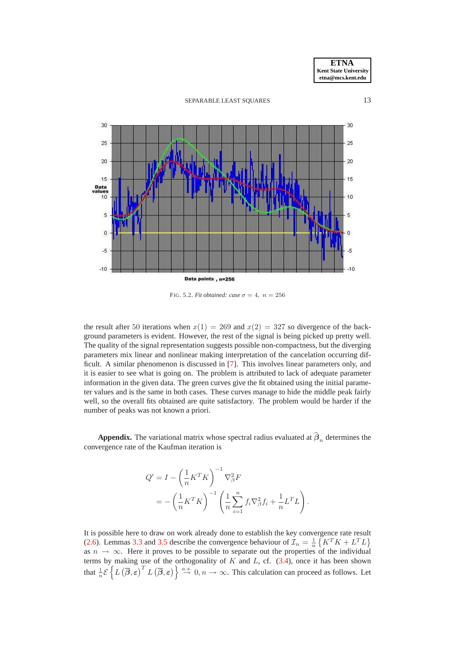

<span id="page-12-0"></span>FIG. 5.2. *Fit obtained: case*  $\sigma = 4$ ,  $n = 256$ 

the result after 50 iterations when  $x(1) = 269$  and  $x(2) = 327$  so divergence of the background parameters is evident. However, the rest of the signal is being picked up pretty well. The quality of the signal representation suggests possible non-compactness, but the diverging parameters mix linear and nonlinear making interpretation of the cancelation occurring difficult. A similar phenomenon is discussed in [\[7\]](#page-14-5). This involves linear parameters only, and it is easier to see what is going on. The problem is attributed to lack of adequate parameter information in the given data. The green curves give the fit obtained using the initial parameter values and is the same in both cases. These curves manage to hide the middle peak fairly well, so the overall fits obtained are quite satisfactory. The problem would be harder if the number of peaks was not known a priori.

**Appendix.** The variational matrix whose spectral radius evaluated at  $\beta_n$  determines the convergence rate of the Kaufman iteration is

$$
Q' = I - \left(\frac{1}{n}K^TK\right)^{-1} \nabla_{\beta}^2 F
$$
  
= 
$$
- \left(\frac{1}{n}K^TK\right)^{-1} \left(\frac{1}{n}\sum_{i=1}^n f_i \nabla_{\beta}^2 f_i + \frac{1}{n}L^TL\right).
$$

It is possible here to draw on work already done to establish the key convergence rate result [\(2.6\)](#page-3-1). Lemmas [3.3](#page-6-0) and [3.5](#page-7-2) describe the convergence behaviour of  $\mathcal{I}_n = \frac{1}{n}$  $\frac{1}{n}\left\{K^TK+L^TL\right\}$ as  $n \to \infty$ . Here it proves to be possible to separate out the properties of the individual terms by making use of the orthogonality of  $K$  and  $L$ , cf. [\(3.4\)](#page-4-4), once it has been shown that  $\frac{1}{n}$  $\mathcal{E}$  $\left\{L\left(\overline{\beta}, \varepsilon\right)^{T} L\left(\overline{\beta}, \varepsilon\right)\right\} \stackrel{a.s.}{\rightarrow} 0, n \rightarrow \infty$ . This calculation can proceed as follows. Let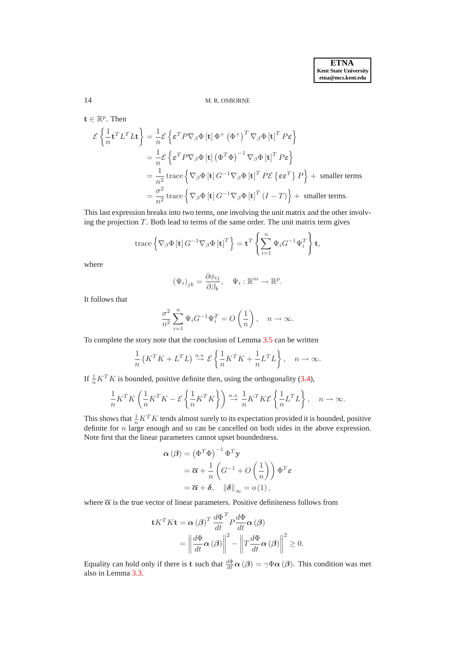14 M. R. OSBORNE

 $\mathbf{t} \in \mathbb{R}^p$ . Then

$$
\mathcal{E}\left\{\frac{1}{n}\mathbf{t}^T L^T L \mathbf{t}\right\} = \frac{1}{n} \mathcal{E}\left\{\varepsilon^T P \nabla_\beta \Phi\left[\mathbf{t}\right] \Phi^+\left(\Phi^+\right)^T \nabla_\beta \Phi\left[\mathbf{t}\right]^T P \varepsilon\right\}
$$

$$
= \frac{1}{n} \mathcal{E}\left\{\varepsilon^T P \nabla_\beta \Phi\left[\mathbf{t}\right] \left(\Phi^T \Phi\right)^{-1} \nabla_\beta \Phi\left[\mathbf{t}\right]^T P \varepsilon\right\}
$$

$$
= \frac{1}{n^2} \operatorname{trace}\left\{\nabla_\beta \Phi\left[\mathbf{t}\right] G^{-1} \nabla_\beta \Phi\left[\mathbf{t}\right]^T P \mathcal{E}\left\{\varepsilon \varepsilon^T\right\} P\right\} + \text{ smaller terms}
$$

$$
= \frac{\sigma^2}{n^2} \operatorname{trace}\left\{\nabla_\beta \Phi\left[\mathbf{t}\right] G^{-1} \nabla_\beta \Phi\left[\mathbf{t}\right]^T (I - T)\right\} + \text{ smaller terms.}
$$

This last expression breaks into two terms, one involving the unit matrix and the other involving the projection  $T$ . Both lead to terms of the same order. The unit matrix term gives

trace
$$
\left\{\nabla_{\beta}\Phi\left[\mathbf{t}\right]G^{-1}\nabla_{\beta}\Phi\left[\mathbf{t}\right]^{T}\right\}=\mathbf{t}^{T}\left\{\sum_{i=1}^{n}\Psi_{i}G^{-1}\Psi_{i}^{T}\right\}\mathbf{t},
$$

where

$$
(\Psi_i)_{jk} = \frac{\partial \phi_{ij}}{\partial \beta_k}, \quad \Psi_i : \mathbb{R}^m \to \mathbb{R}^p.
$$

It follows that

$$
\frac{\sigma^2}{n^2} \sum_{i=1}^n \Psi_i G^{-1} \Psi_i^T = O\left(\frac{1}{n}\right), \quad n \to \infty.
$$

To complete the story note that the conclusion of Lemma [3.5](#page-7-2) can be written

$$
\frac{1}{n} \left( K^T K + L^T L \right) \stackrel{a.s.}{\to} \mathcal{E} \left\{ \frac{1}{n} K^T K + \frac{1}{n} L^T L \right\}, \quad n \to \infty.
$$

If  $\frac{1}{n}K^T K$  is bounded, positive definite then, using the orthogonality [\(3.4\)](#page-4-4),

$$
\frac{1}{n}K^T K\left(\frac{1}{n}K^T K - \mathcal{E}\left\{\frac{1}{n}K^T K\right\}\right) \xrightarrow{a.s.} \frac{1}{n}K^T K \mathcal{E}\left\{\frac{1}{n}L^T L\right\}, \quad n \to \infty.
$$

This shows that  $\frac{1}{n}K^TK$  tends almost surely to its expectation provided it is bounded, positive definite for n large enough and so can be cancelled on both sides in the above expression. Note first that the linear parameters cannot upset boundedness.

$$
\alpha(\beta) = (\Phi^T \Phi)^{-1} \Phi^T \mathbf{y}
$$
  
=  $\overline{\alpha} + \frac{1}{n} \left( G^{-1} + O\left(\frac{1}{n}\right) \right) \Phi^T \varepsilon$   
=  $\overline{\alpha} + \delta$ ,  $\|\delta\|_{\infty} = o(1)$ ,

where  $\overline{\alpha}$  is the true vector of linear parameters. Positive definiteness follows from

$$
\mathbf{t} K^T K \mathbf{t} = \alpha (\beta)^T \frac{d \Phi^T}{dt} P \frac{d \Phi}{dt} \alpha (\beta)
$$
  
= 
$$
\left\| \frac{d \Phi}{dt} \alpha (\beta) \right\|^2 - \left\| T \frac{d \Phi}{dt} \alpha (\beta) \right\|^2 \ge 0.
$$

Equality can hold only if there is t such that  $\frac{d\Phi}{dt} \alpha (\beta) = \gamma \Phi \alpha (\beta)$ . This condition was met also in Lemma [3.3.](#page-6-0)